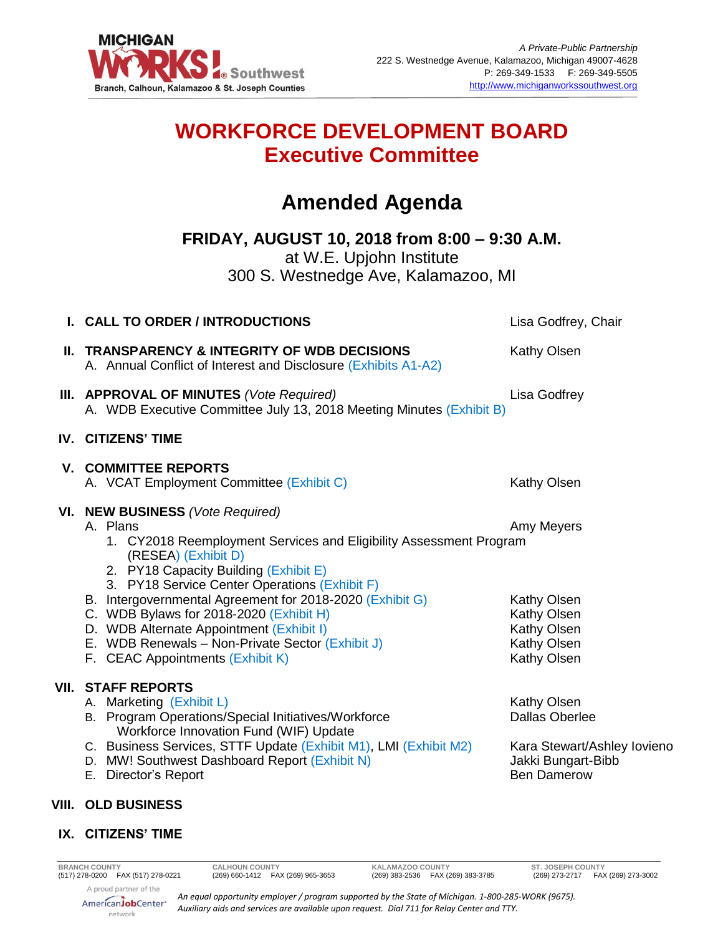

## **WORKFORCE DEVELOPMENT BOARD Executive Committee**

# **Amended Agenda**

**FRIDAY, AUGUST 10, 2018 from 8:00 – 9:30 A.M.** at W.E. Upjohn Institute

300 S. Westnedge Ave, Kalamazoo, MI

| I. CALL TO ORDER / INTRODUCTIONS                                                                                                                                                                                                                                                                                                                                                                                                                                               | Lisa Godfrey, Chair                                                                                                    |
|--------------------------------------------------------------------------------------------------------------------------------------------------------------------------------------------------------------------------------------------------------------------------------------------------------------------------------------------------------------------------------------------------------------------------------------------------------------------------------|------------------------------------------------------------------------------------------------------------------------|
| II. TRANSPARENCY & INTEGRITY OF WDB DECISIONS<br>A. Annual Conflict of Interest and Disclosure (Exhibits A1-A2)                                                                                                                                                                                                                                                                                                                                                                | <b>Kathy Olsen</b>                                                                                                     |
| <b>III. APPROVAL OF MINUTES (Vote Required)</b><br>A. WDB Executive Committee July 13, 2018 Meeting Minutes (Exhibit B)                                                                                                                                                                                                                                                                                                                                                        | Lisa Godfrey                                                                                                           |
| IV. CITIZENS' TIME                                                                                                                                                                                                                                                                                                                                                                                                                                                             |                                                                                                                        |
| <b>V. COMMITTEE REPORTS</b><br>A. VCAT Employment Committee (Exhibit C)                                                                                                                                                                                                                                                                                                                                                                                                        | <b>Kathy Olsen</b>                                                                                                     |
| VI. NEW BUSINESS (Vote Required)<br>A. Plans<br>1. CY2018 Reemployment Services and Eligibility Assessment Program<br>(RESEA) (Exhibit D)<br>2. PY18 Capacity Building (Exhibit E)<br>3. PY18 Service Center Operations (Exhibit F)<br>B. Intergovernmental Agreement for 2018-2020 (Exhibit G)<br>C. WDB Bylaws for 2018-2020 (Exhibit H)<br>D. WDB Alternate Appointment (Exhibit I)<br>E. WDB Renewals - Non-Private Sector (Exhibit J)<br>F. CEAC Appointments (Exhibit K) | Amy Meyers<br>Kathy Olsen<br>Kathy Olsen<br>Kathy Olsen<br>Kathy Olsen<br>Kathy Olsen                                  |
| <b>VII. STAFF REPORTS</b><br>A. Marketing (Exhibit L)<br>B. Program Operations/Special Initiatives/Workforce<br>Workforce Innovation Fund (WIF) Update<br>C. Business Services, STTF Update (Exhibit M1), LMI (Exhibit M2)<br>D. MW! Southwest Dashboard Report (Exhibit N)<br>E. Director's Report                                                                                                                                                                            | <b>Kathy Olsen</b><br><b>Dallas Oberlee</b><br>Kara Stewart/Ashley lovieno<br>Jakki Bungart-Bibb<br><b>Ben Damerow</b> |
| <b>VIII. OLD BUSINESS</b>                                                                                                                                                                                                                                                                                                                                                                                                                                                      |                                                                                                                        |

### **IX. CITIZENS' TIME**

**BRANCH COUNTY CALHOUN COUNTY KALAMAZOO COUNTY**<br>(517) 278-0200 **FAX (517) 278-0221** (269) 660-1412 **FAX (269) 965-3653** (269) 383-2536 **FAX (269) 383-3785** 

ST. JOSEPH COUNTY<br>(269) 273-2717 FAX (269) 273-3002

A proud partner of the AmericanJobCenter\* network

*An equal opportunity employer / program supported by the State of Michigan. 1-800-285-WORK (9675). Auxiliary aids and services are available upon request. Dial 711 for Relay Center and TTY.*